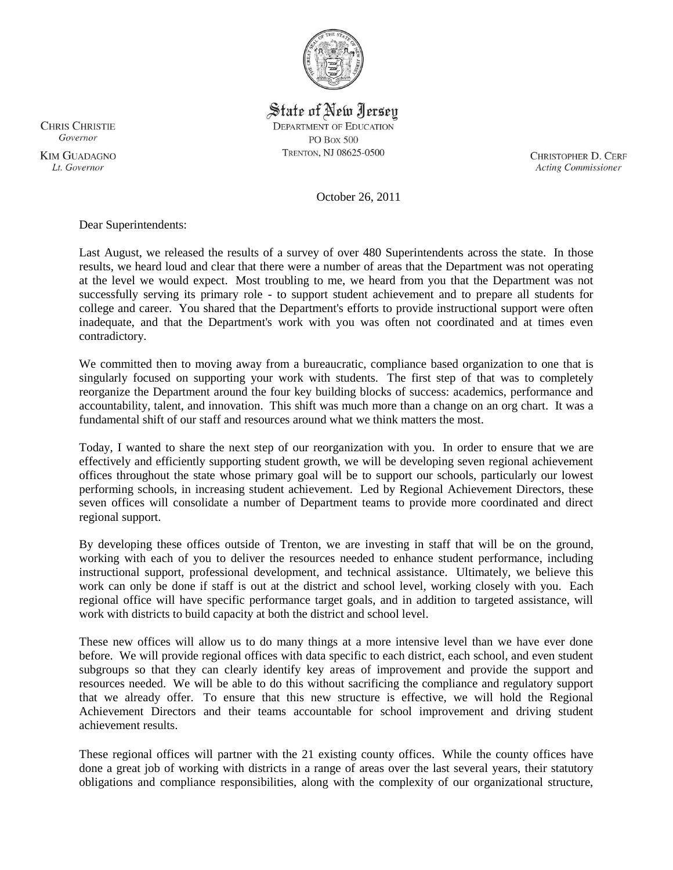

## State of New Jersey

**DEPARTMENT OF EDUCATION PO Box 500** TRENTON, NJ 08625-0500

**CHRISTOPHER D. CERF Acting Commissioner** 

October 26, 2011

Dear Superintendents:

Last August, we released the results of a survey of over 480 Superintendents across the state. In those results, we heard loud and clear that there were a number of areas that the Department was not operating at the level we would expect. Most troubling to me, we heard from you that the Department was not successfully serving its primary role - to support student achievement and to prepare all students for college and career. You shared that the Department's efforts to provide instructional support were often inadequate, and that the Department's work with you was often not coordinated and at times even contradictory.

We committed then to moving away from a bureaucratic, compliance based organization to one that is singularly focused on supporting your work with students. The first step of that was to completely reorganize the Department around the four key building blocks of success: academics, performance and accountability, talent, and innovation. This shift was much more than a change on an org chart. It was a fundamental shift of our staff and resources around what we think matters the most.

Today, I wanted to share the next step of our reorganization with you. In order to ensure that we are effectively and efficiently supporting student growth, we will be developing seven regional achievement offices throughout the state whose primary goal will be to support our schools, particularly our lowest performing schools, in increasing student achievement. Led by Regional Achievement Directors, these seven offices will consolidate a number of Department teams to provide more coordinated and direct regional support.

By developing these offices outside of Trenton, we are investing in staff that will be on the ground, working with each of you to deliver the resources needed to enhance student performance, including instructional support, professional development, and technical assistance. Ultimately, we believe this work can only be done if staff is out at the district and school level, working closely with you. Each regional office will have specific performance target goals, and in addition to targeted assistance, will work with districts to build capacity at both the district and school level.

These new offices will allow us to do many things at a more intensive level than we have ever done before. We will provide regional offices with data specific to each district, each school, and even student subgroups so that they can clearly identify key areas of improvement and provide the support and resources needed. We will be able to do this without sacrificing the compliance and regulatory support that we already offer. To ensure that this new structure is effective, we will hold the Regional Achievement Directors and their teams accountable for school improvement and driving student achievement results.

These regional offices will partner with the 21 existing county offices. While the county offices have done a great job of working with districts in a range of areas over the last several years, their statutory obligations and compliance responsibilities, along with the complexity of our organizational structure,

**CHRIS CHRISTIE** Governor **KIM GUADAGNO** Lt. Governor